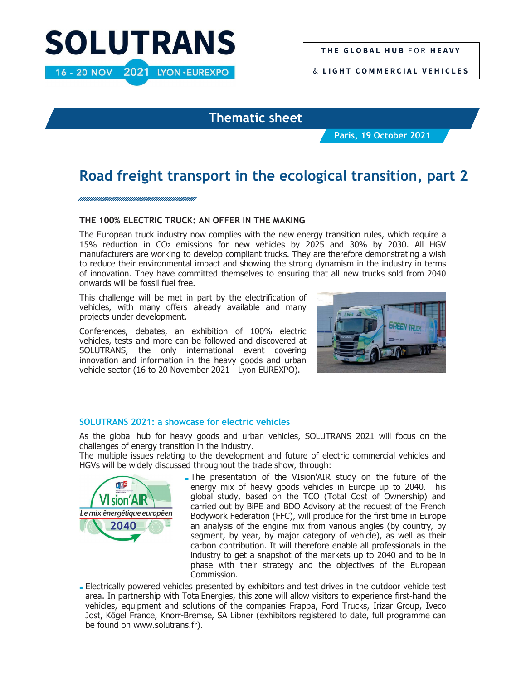# **SOLUTRANS** 16 - 20 NOV 2021 LYON · EUREXPO

& **L I G H T C O M M E R C I A L V E H I C L E S**

### **Thematic sheet**

**Paris, 19 October 2021**

## **Road freight transport in the ecological transition, part 2**

httiinin kunna kunna kunna kunna kunna kunna kunna kunna kunna kunna kunna kunna kunna kunna kunna kunna kunna

#### **THE 100% ELECTRIC TRUCK: AN OFFER IN THE MAKING**

The European truck industry now complies with the new energy transition rules, which require a 15% reduction in CO2 emissions for new vehicles by 2025 and 30% by 2030. All HGV manufacturers are working to develop compliant trucks. They are therefore demonstrating a wish to reduce their environmental impact and showing the strong dynamism in the industry in terms of innovation. They have committed themselves to ensuring that all new trucks sold from 2040 onwards will be fossil fuel free.

This challenge will be met in part by the electrification of vehicles, with many offers already available and many projects under development.

Conferences, debates, an exhibition of 100% electric vehicles, tests and more can be followed and discovered at SOLUTRANS, the only international event covering innovation and information in the heavy goods and urban vehicle sector (16 to 20 November 2021 - Lyon EUREXPO).



#### **SOLUTRANS 2021: a showcase for electric vehicles**

As the global hub for heavy goods and urban vehicles, SOLUTRANS 2021 will focus on the challenges of energy transition in the industry.

The multiple issues relating to the development and future of electric commercial vehicles and HGVs will be widely discussed throughout the trade show, through:



- The presentation of the VIsion'AIR study on the future of the energy mix of heavy goods vehicles in Europe up to 2040. This global study, based on the TCO (Total Cost of Ownership) and carried out by BiPE and BDO Advisory at the request of the French Bodywork Federation (FFC), will produce for the first time in Europe an analysis of the engine mix from various angles (by country, by segment, by year, by major category of vehicle), as well as their carbon contribution. It will therefore enable all professionals in the industry to get a snapshot of the markets up to 2040 and to be in phase with their strategy and the objectives of the European Commission.

- Electrically powered vehicles presented by exhibitors and test drives in the outdoor vehicle test area. In partnership with TotalEnergies, this zone will allow visitors to experience first-hand the vehicles, equipment and solutions of the companies Frappa, Ford Trucks, Irizar Group, Iveco Jost, Kögel France, Knorr-Bremse, SA Libner (exhibitors registered to date, full programme can be found on www.solutrans.fr).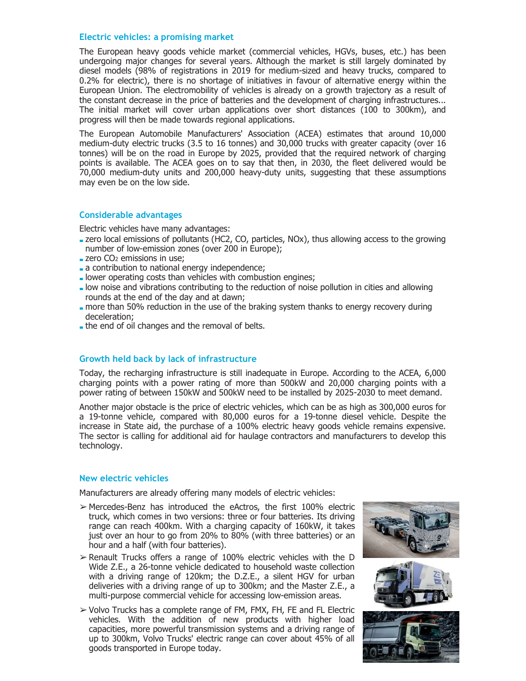#### **Electric vehicles: a promising market**

The European heavy goods vehicle market (commercial vehicles, HGVs, buses, etc.) has been undergoing major changes for several years. Although the market is still largely dominated by diesel models (98% of registrations in 2019 for medium-sized and heavy trucks, compared to 0.2% for electric), there is no shortage of initiatives in favour of alternative energy within the European Union. The electromobility of vehicles is already on a growth trajectory as a result of the constant decrease in the price of batteries and the development of charging infrastructures... The initial market will cover urban applications over short distances (100 to 300km), and progress will then be made towards regional applications.

The European Automobile Manufacturers' Association (ACEA) estimates that around 10,000 medium-duty electric trucks (3.5 to 16 tonnes) and 30,000 trucks with greater capacity (over 16 tonnes) will be on the road in Europe by 2025, provided that the required network of charging points is available. The ACEA goes on to say that then, in 2030, the fleet delivered would be 70,000 medium-duty units and 200,000 heavy-duty units, suggesting that these assumptions may even be on the low side.

#### **Considerable advantages**

Electric vehicles have many advantages:

- zero local emissions of pollutants (HC2, CO, particles, NOx), thus allowing access to the growing number of low-emission zones (over 200 in Europe);
- $\blacksquare$  zero CO<sub>2</sub> emissions in use;
- a contribution to national energy independence;
- lower operating costs than vehicles with combustion engines;
- low noise and vibrations contributing to the reduction of noise pollution in cities and allowing rounds at the end of the day and at dawn;
- more than 50% reduction in the use of the braking system thanks to energy recovery during deceleration;
- the end of oil changes and the removal of belts.

#### **Growth held back by lack of infrastructure**

Today, the recharging infrastructure is still inadequate in Europe. According to the ACEA, 6,000 charging points with a power rating of more than 500kW and 20,000 charging points with a power rating of between 150kW and 500kW need to be installed by 2025-2030 to meet demand.

Another major obstacle is the price of electric vehicles, which can be as high as 300,000 euros for a 19-tonne vehicle, compared with 80,000 euros for a 19-tonne diesel vehicle. Despite the increase in State aid, the purchase of a 100% electric heavy goods vehicle remains expensive. The sector is calling for additional aid for haulage contractors and manufacturers to develop this technology.

#### **New electric vehicles**

Manufacturers are already offering many models of electric vehicles:

- ➢ Mercedes-Benz has introduced the eActros, the first 100% electric truck, which comes in two versions: three or four batteries. Its driving range can reach 400km. With a charging capacity of 160kW, it takes just over an hour to go from 20% to 80% (with three batteries) or an hour and a half (with four batteries).
- $\triangleright$  Renault Trucks offers a range of 100% electric vehicles with the D Wide Z.E., a 26-tonne vehicle dedicated to household waste collection with a driving range of 120km; the D.Z.E., a silent HGV for urban deliveries with a driving range of up to 300km; and the Master Z.E., a multi-purpose commercial vehicle for accessing low-emission areas.
- ➢ Volvo Trucks has a complete range of FM, FMX, FH, FE and FL Electric vehicles. With the addition of new products with higher load capacities, more powerful transmission systems and a driving range of up to 300km, Volvo Trucks' electric range can cover about 45% of all goods transported in Europe today.